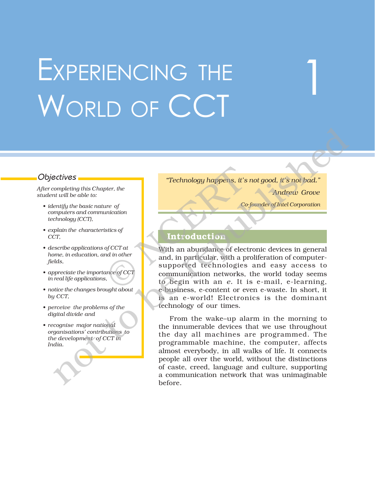# EXPERIENCING THE WORLD OF CCT

*After completing this Chapter, the student will be able to:*

- *ï identify the basic nature of computers and communication technology (CCT),*
- *ï explain the characteristics of CCT,*
- *ï describe applications of CCT at home, in education, and in other fields,*
- *ï appreciate the importance of CCT in real life applications,*
- *ï notice the changes brought about by CCT,*
- *ï perceive the problems of the digital divide and*
- *ï recognise major national organisationsí contributions to the development of CCT in India.*

Objectives **in the** *iTechnology happens, it's not good, it's not bad.*<sup>*n*</sup>

*Andrew Grove*

1

*Co-founder of Intel Corporation*

# **Introduction**

With an abundance of electronic devices in general and, in particular, with a proliferation of computersupported technologies and easy access to communication networks, the world today seems to begin with an *e.* It is e-mail, e-learning, e-business, e-content or even e-waste. In short, it is an e-world! Electronics is the dominant technology of our times. Technology happens, it's<br>
ute of<br>
unication<br>
stics of<br>
stics of<br> **Co**<br>
stics of<br> **Co**<br>
stics of<br> **Co**<br>
with an abundance of elect<br>
and, in particular, with a p<br>
supported technologies<br>
communication networks,<br>
to begin wit

From the wake-up alarm in the morning to the innumerable devices that we use throughout the day all machines are programmed. The programmable machine, the computer, affects almost everybody, in all walks of life. It connects people all over the world, without the distinctions of caste, creed, language and culture, supporting a communication network that was unimaginable before. not to be republished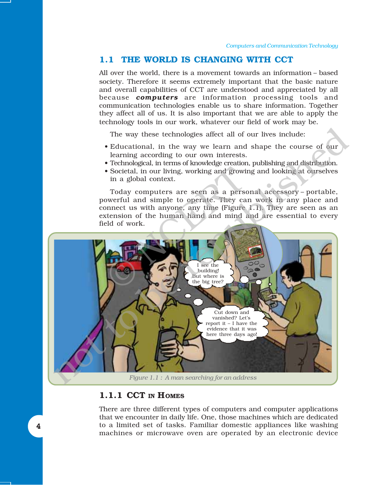# **1.1 THE WORLD IS CHANGING WITH CCT**

All over the world, there is a movement towards an information – based society. Therefore it seems extremely important that the basic nature and overall capabilities of CCT are understood and appreciated by all because *computers* are information processing tools and communication technologies enable us to share information. Together they affect all of us. It is also important that we are able to apply the technology tools in our work, whatever our field of work may be.

The way these technologies affect all of our lives include:

- Educational, in the way we learn and shape the course of our learning according to our own interests.
- Technological, in terms of knowledge creation, publishing and distribution.
- Societal, in our living, working and growing and looking at ourselves in a global context.

Today computers are seen as a personal accessory - portable, powerful and simple to operate. They can work in any place and connect us with anyone, any time (Figure 1.1). They are seen as an extension of the human hand and mind and are essential to every field of work.



# **1.1.1 CCT IN HOMES**

There are three different types of computers and computer applications that we encounter in daily life. One, those machines which are dedicated to a limited set of tasks. Familiar domestic appliances like washing machines or microwave oven are operated by an electronic device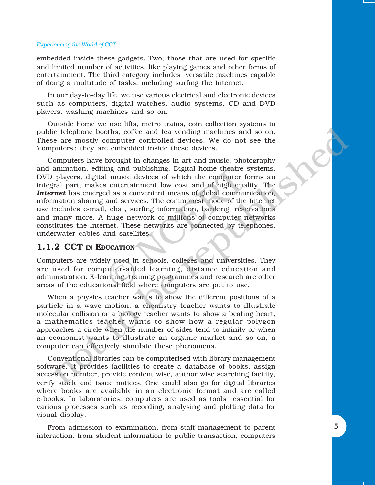#### *Experiencing the World of CCT*

embedded inside these gadgets. Two, those that are used for specific and limited number of activities, like playing games and other forms of entertainment. The third category includes versatile machines capable of doing a multitude of tasks, including surfing the Internet.

In our day-to-day life, we use various electrical and electronic devices such as computers, digital watches, audio systems, CD and DVD players, washing machines and so on.

Outside home we use lifts, metro trains, coin collection systems in public telephone booths, coffee and tea vending machines and so on. These are mostly computer controlled devices. We do not see the ëcomputersí; they are embedded inside these devices.

Computers have brought in changes in art and music, photography and animation, editing and publishing. Digital home theatre systems, DVD players, digital music devices of which the computer forms an integral part, makes entertainment low cost and of high quality. The *Internet* has emerged as a convenient means of global communication, information sharing and services. The commonest mode of the Internet use includes e-mail, chat, surfing information, banking, reservations and many more. A huge network of millions of computer networks constitutes the Internet. These networks are connected by telephones, underwater cables and satellites. ing and publishing. Digital home theatre is<br>
1 music devices of which the computer f<br>
is entertainment low cost and of high qua<br>
d as a convenient means of global commun<br>
and services. The commonest mode of the<br>
, chat, su ic dephone booths, coffee and tea vending machines and so on.<br>
e are mostly compute controlled devices. We do not see the<br>
energy computers have embedded made publishing. Digital home the<br>safe summation, edding and publis

# **1.1.2 CCT IN EDUCATION**

Computers are widely used in schools, colleges and universities. They are used for computer-aided learning, distance education and administration. E-learning, training programmes and research are other areas of the educational field where computers are put to use.

When a physics teacher wants to show the different positions of a particle in a wave motion, a chemistry teacher wants to illustrate molecular collision or a biology teacher wants to show a beating heart, a mathematics teacher wants to show how a regular polygon approaches a circle when the number of sides tend to infinity or when an economist wants to illustrate an organic market and so on, a computer can effectively simulate these phenomena.

Conventional libraries can be computerised with library management software. It provides facilities to create a database of books, assign accession number, provide content wise, author wise searching facility, verify stock and issue notices. One could also go for digital libraries where books are available in an electronic format and are called e-books. In laboratories, computers are used as tools essential for various processes such as recording, analysing and plotting data for visual display.

From admission to examination, from staff management to parent interaction, from student information to public transaction, computers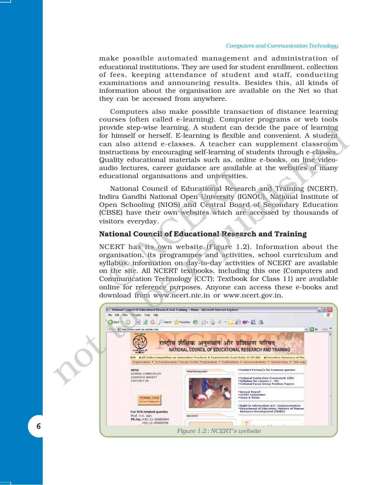#### *Computers and Communication Technology*

make possible automated management and administration of educational institutions. They are used for student enrollment, collection of fees, keeping attendance of student and staff, conducting examinations and announcing results. Besides this, all kinds of information about the organisation are available on the Net so that they can be accessed from anywhere.

Computers also make possible transaction of distance learning courses (often called e-learning). Computer programs or web tools provide step-wise learning. A student can decide the pace of learning for himself or herself. E-learning is flexible and convenient. A student can also attend e-classes. A teacher can supplement classroom instructions by encouraging self-learning of students through e-classes. Quality educational materials such as, online e-books, on line videoaudio lectures, career guidance are available at the websites of many educational organisations and universities.

National Council of Educational Research and Training (NCERT), Indira Gandhi National Open University (IGNOU), National Institute of Open Schooling (NIOS) and Central Board of Secondary Education (CBSE) have their own websites which are accessed by thousands of visitors everyday.

### **National Council of Educational Research and Training**

NCERT has its own website (Figure 1.2). Information about the organisation, its programmes and activities, school curriculum and syllabus, information on day-to-day activities of NCERT are available on the site. All NCERT textbooks, including this one (Computers and Communication Technology (CCT); Textbook for Class 11) are available online for reference purposes. Anyone can access these e-books and download from www.ncert.nic.in or www.ncert.gov.in. dio lectures, career guidance are availablucational organisations and universities.<br>
National Council of Educational Resear<br>
dira Gandhi National Open University (IG<br>
pen Schooling (NIOS) and Central Boarc<br>
CBSE) have thei

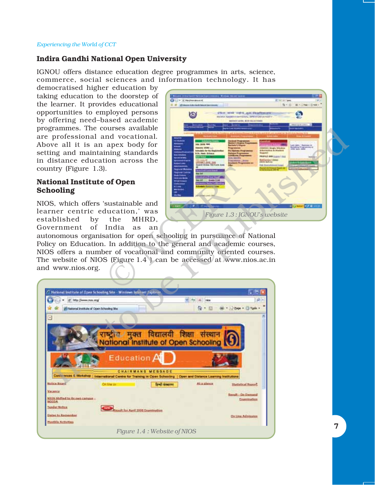#### *Experiencing the World of CCT*

# **Indira Gandhi National Open University**

IGNOU offers distance education degree programmes in arts, science, commerce, social sciences and information technology. It has

democratised higher education by taking education to the doorstep of the learner. It provides educational opportunities to employed persons by offering need-based academic programmes. The courses available are professional and vocational. Above all it is an apex body for setting and maintaining standards in distance education across the country (Figure 1.3).

# **National Institute of Open Schooling**

510 at 261-014 ۵ there were the project and the effections G MITOLOGIA, SCRIBULETO *Figure 1.3 : IGNOUís website*

| programmes. The courses available<br>are professional and vocational.<br>Above all it is an apex body for<br>setting and maintaining standards<br>in distance education across the<br>country (Figure $1.3$ ).<br><b>National Institute of Open</b>                                                                                                                                                                                                                    | <b>Lake 240-006 PM</b><br><b>PEE ORB SURVALISMS</b>                                                                                             |
|------------------------------------------------------------------------------------------------------------------------------------------------------------------------------------------------------------------------------------------------------------------------------------------------------------------------------------------------------------------------------------------------------------------------------------------------------------------------|-------------------------------------------------------------------------------------------------------------------------------------------------|
| Schooling                                                                                                                                                                                                                                                                                                                                                                                                                                                              |                                                                                                                                                 |
| NIOS, which offers 'sustainable and<br>learner centric education,' was<br>established<br>by<br>the<br>MHRD.<br>of<br>India<br>Government<br>as<br>an<br>autonomous organisation for open schooling in pursuance of National<br>Policy on Education. In addition to the general and academic courses,<br>NIOS offers a number of vocational and community oriented courses.<br>The website of NIOS (Figure 1.4 ) can be accessed at www.nios.ac.in<br>and www.nios.org. | Figure 1.3: IGNOU's website                                                                                                                     |
|                                                                                                                                                                                                                                                                                                                                                                                                                                                                        |                                                                                                                                                 |
| <b>C. National Institute of Open Schooling Site - Winnows Internet Expiscer.</b><br>id Hdg : Uwww.nas.org/<br>In National Institute of Open Schooling Sta-<br>$\mathbf{a}$<br>विद्यालयी<br>/ मुक्त<br>National Institute of Open Schooling<br>Education A<br>CHAIRMANS MESSAGE<br>Conferences & Workshop   International Central Contrary in Open Schooling   Open and Distance Learning Institutions<br><b>Salice Bisand</b><br>On Irw or<br>जिल्ली संस्थापना         | - 131<br>$ +$ $+$ $ +$ $+$ $+$ $+$<br>价· 田<br>Mi +     - Bage +     Tgdz +<br>शिक्षा<br>संस्था<br><b>Mia glance</b><br><b>Hatletical Naport</b> |
| <b>Унсилск</b><br>KIOS Shifted to its corn campus :<br><b>ADIO</b>                                                                                                                                                                                                                                                                                                                                                                                                     | <b>Benuit - On Demand</b><br>Examination                                                                                                        |
| <b>Tender Notice</b><br>sult for April 2008 Expressution<br><b>Dates to Remember</b><br><b>Hortling Activities</b>                                                                                                                                                                                                                                                                                                                                                     | <b>On Line Admission</b><br>7                                                                                                                   |
| Figure 1.4 : Website of NIOS                                                                                                                                                                                                                                                                                                                                                                                                                                           |                                                                                                                                                 |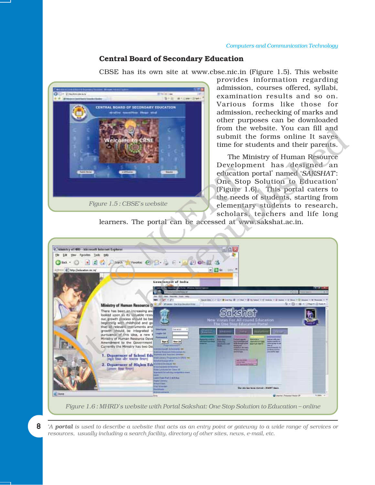# **Central Board of Secondary Education**

CBSE has its own site at www.cbse.nic.in (Figure 1.5). This website



provides information regarding admission, courses offered, syllabi, examination results and so on. Various forms like those for admission, rechecking of marks and other purposes can be downloaded from the website. You can fill and submit the forms online It saves time for students and their parents.

The Ministry of Human Resource Development has designed an education portal<sup>\*</sup> named 'SAKSHAT: One Stop Solution to Education' (Figure 1.6). This portal caters to the needs of students, starting from elementary students to research, scholars, teachers and life long

learners. The portal can be accessed at www.sakshat.ac.in.



8 *\* A portal is used to describe a website that acts as an entry point or gateway to a wide range of services or resources, usually including a search facility, directory of other sites, news, e-mail, etc.*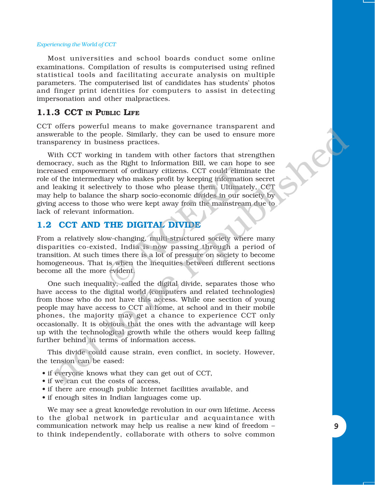#### *Experiencing the World of CCT*

Most universities and school boards conduct some online examinations. Compilation of results is computerised using refined statistical tools and facilitating accurate analysis on multiple parameters. The computerised list of candidates has studentsí photos and finger print identities for computers to assist in detecting impersonation and other malpractices.

# **1.1.3 CCT IN PUBLIC LIFE**

CCT offers powerful means to make governance transparent and answerable to the people. Similarly, they can be used to ensure more transparency in business practices.

With CCT working in tandem with other factors that strengthen democracy, such as the Right to Information Bill, we can hope to see increased empowerment of ordinary citizens. CCT could eliminate the role of the intermediary who makes profit by keeping information secret and leaking it selectively to those who please them. Ultimately, CCT may help to balance the sharp socio-economic divides in our society by giving access to those who were kept away from the mainstream due to lack of relevant information. nent of ordinary citizens. CCT could eliminary who makes profit by keeping information<br>tively to those who please them. Ultimate<br>the sharp socio-economic divides in our sc<br>ee who were kept away from the mainstrear<br>rmation.

# **1.2 CCT AND THE DIGITAL DIVIDE**

From a relatively slow-changing, multi-structured society where many disparities co-existed, India is now passing through a period of transition. At such times there is a lot of pressure on society to become homogeneous. That is when the inequities between different sections become all the more evident.

One such inequality, called the digital divide, separates those who have access to the digital world (computers and related technologies) from those who do not have this access. While one section of young people may have access to CCT at home, at school and in their mobile phones, the majority may get a chance to experience CCT only occasionally. It is obvious that the ones with the advantage will keep up with the technological growth while the others would keep falling further behind in terms of information access. otens whereas to make governance can<br>spaceral measure and the people. Similarly, they can be used to ensure more<br>parency in business practices.<br>Firal CCT working in tranchem with other factors that sterngthen<br>because an ex

This divide could cause strain, even conflict, in society. However, the tension can be eased:

- if everyone knows what they can get out of CCT,
- if we can cut the costs of access,
- if there are enough public Internet facilities available, and
- if enough sites in Indian languages come up.

We may see a great knowledge revolution in our own lifetime. Access to the global network in particular and acquaintance with communication network may help us realise a new kind of freedom  $$ to think independently, collaborate with others to solve common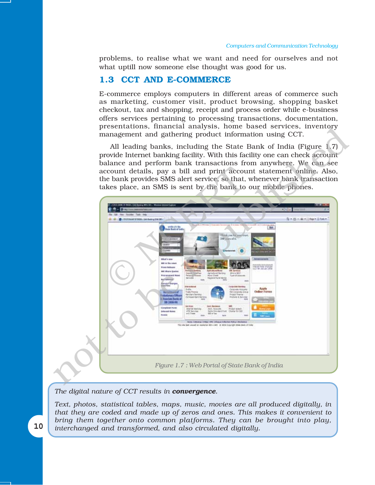problems, to realise what we want and need for ourselves and not what uptill now someone else thought was good for us.

# **1.3 CCT AND E-COMMERCE**

E-commerce employs computers in different areas of commerce such as marketing, customer visit, product browsing, shopping basket checkout, tax and shopping, receipt and process order while e-business offers services pertaining to processing transactions, documentation, presentations, financial analysis, home based services, inventory management and gathering product information using CCT.

All leading banks, including the State Bank of India (Figure 1.7) provide Internet banking facility. With this facility one can check account balance and perform bank transactions from anywhere. We can see account details, pay a bill and print account statement online. Also, the bank provides SMS alert service, so that, whenever bank transaction takes place, an SMS is sent by the bank to our mobile phones.



#### *The digital nature of CCT results in convergence.*

*Text, photos, statistical tables, maps, music, movies are all produced digitally, in that they are coded and made up of zeros and ones. This makes it convenient to bring them together onto common platforms. They can be brought into play, interchanged and transformed, and also circulated digitally.*

10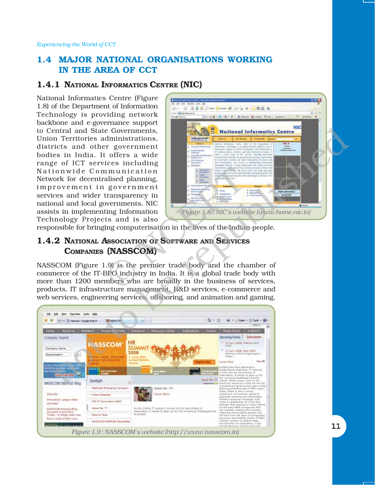# **1.4 MAJOR NATIONAL ORGANISATIONS WORKING IN THE AREA OF CCT**

# **1.4.1 NATIONAL INFORMATICS CENTRE (NIC)**

National Informatics Centre (Figure 1.8) of the Department of Information Technology is providing network backbone and e-governance support to Central and State Governments, Union Territories administrations, districts and other government bodies in India. It offers a wide range of ICT services including Nationwide Communication Network for decentralised planning, improvement in government services and wider transparency in national and local governments. NIC assists in implementing Information Technology Projects and is also



responsible for bringing computerisation in the lives of the Indian people.

# **1.4.2 NATIONAL ASSOCIATION OF SOFTWARE AND SERVICES COMPANIES (NASSCOM)**

NASSCOM (Figure 1.9) is the premier trade body and the chamber of commerce of the IT-BPO industry in India. It is a global trade body with more than 1200 members who are broadly in the business of services, products, IT infrastructure management, R&D services, e-commerce and web services, engineering services, offshoring, and animation and gaming.



11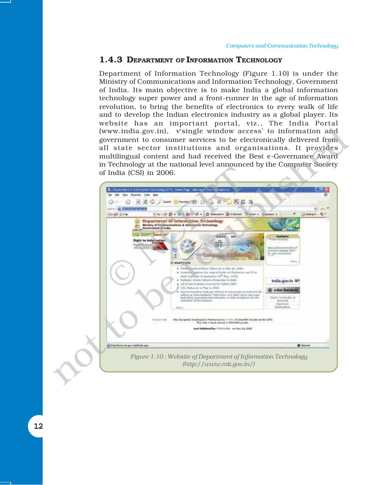#### **1.4.3 DEPARTMENT OF INFORMATION TECHNOLOGY**

Department of Information Technology (Figure 1.10) is under the Ministry of Communications and Information Technology, Government of India. Its main objective is to make India a global information technology super power and a front-runner in the age of information revolution, to bring the benefits of electronics to every walk of life and to develop the Indian electronics industry as a global player. Its website has an important portal, viz., The India Portal (www.india.gov.in), v'single window access' to information and government to consumer services to be electronically delivered from all state sector institutions and organisations. It provides multilingual content and had received the Best e-Governance Award in Technology at the national level announced by the Computer Society of India (CSI) in 2006.



12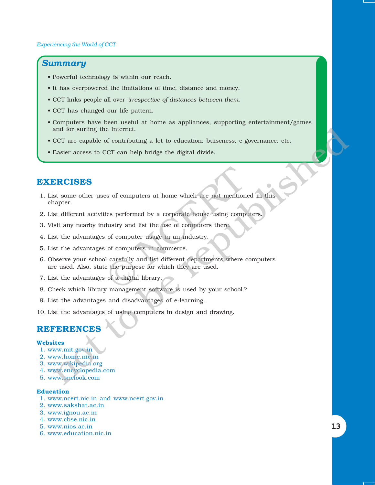# *Summary*

- Powerful technology is within our reach.
- It has overpowered the limitations of time, distance and money.
- ï CCT links people all over *irrespective of distances between them.*
- CCT has changed our life pattern.
- ï Computers have been useful at home as appliances, supporting entertainment/games and for surfing the Internet.
- ï CCT are capable of contributing a lot to education, buiseness, e-governance, etc.
- Easier access to CCT can help bridge the digital divide.

# **EXERCISES**

- 1. List some other uses of computers at home which are not mentioned in this chapter.
- 2. List different activities performed by a corporate house using computers.
- 3. Visit any nearby industry and list the use of computers there.
- 4. List the advantages of computer usage in an industry.
- 5. List the advantages of computers in commerce.
- 6. Observe your school carefully and list different departments where computers are used. Also, state the purpose for which they are used. Exercise of computers at home which are not mentionency and list the use of computers there of computers there of computers in an industry.<br>
The computer of computers in an industry.<br>
The computers in commerce.<br>
I carefull and for surring the internet.<br>
CCT are capable of contributing a lot to education, buiseness, e-governance, etc.<br>
Elasier access to CCT can help bridge the digital divide.<br>
ERCISES<br>
st some other uses of computers at home
- 7. List the advantages of a digital library.
- 8. Check which library management software is used by your school ?
- 9. List the advantages and disadvantages of e-learning.
- 10. List the advantages of using computers in design and drawing.

# **REFERENCE**

#### **Websites**

- 1. www.mit.gov.in
- 2. www.home.nic.in
- 3. www.wikipedia.org
- 4. www.encyclopedia.com
- 5. www.onelook.com

#### **Education**

- 1. www.ncert.nic.in and www.ncert.gov.in
- 2. www.sakshat.ac.in
- 3. www.ignou.ac.in
- 4. www.cbse.nic.in
- 5. www.nios.ac.in
- 6. www.education.nic.in